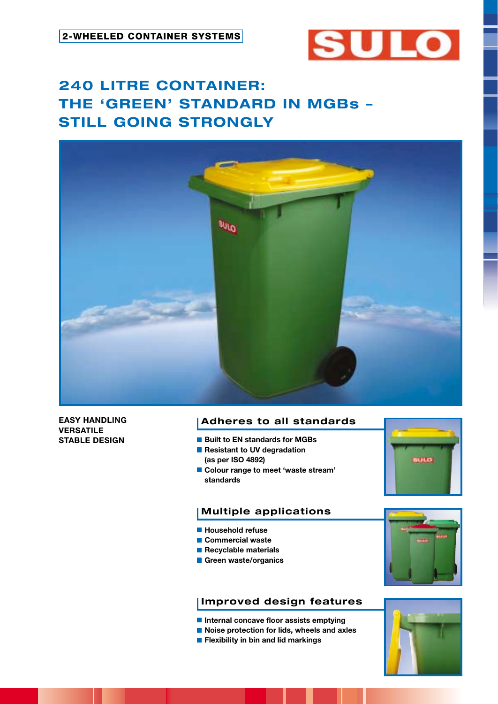

# **240 LITRE CONTAINER: THE 'GREEN' STANDARD IN MGBs – STILL GOING STRONGLY**



**EASY HANDLING VERSATILE STABLE DESIGN**

# **Adheres to all standards**

- Built to EN standards for MGBs
- **Resistant to UV degradation (as per ISO 4892)**
- **Colour range to meet 'waste stream' standards**



# **Multiple applications**

- **Household refuse**
- **Commercial waste**
- **Recyclable materials**
- **Green waste/organics**

# **Improved design features**

- **Internal concave floor assists emptying**
- **Noise protection for lids, wheels and axles**
- **Flexibility in bin and lid markings**